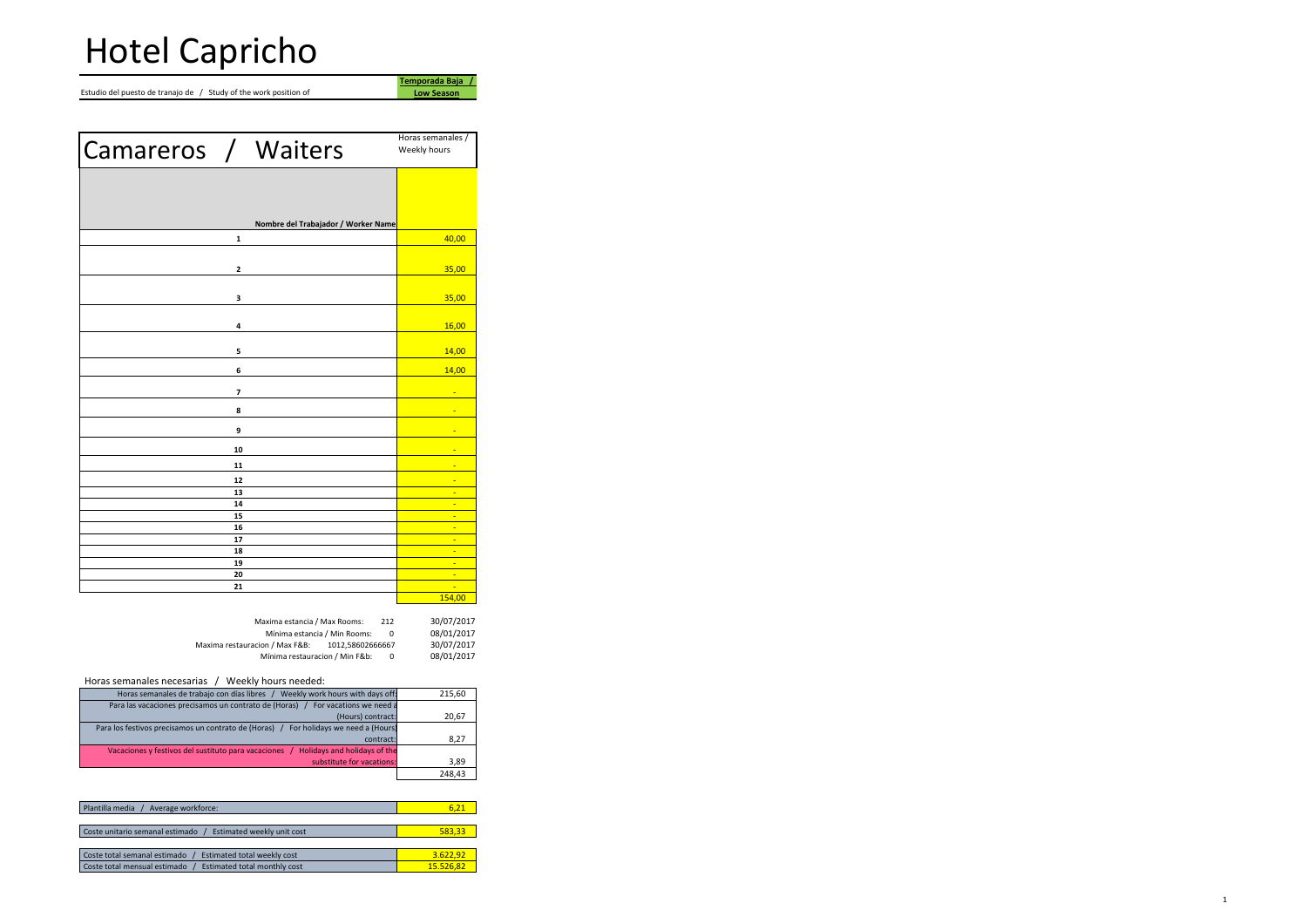Estudio del puesto de tranajo de / Study of the work position of

| Camareros / Waiters |                         |                                     | Horas semanales /<br>Weekly hours |
|---------------------|-------------------------|-------------------------------------|-----------------------------------|
|                     |                         |                                     |                                   |
|                     |                         |                                     |                                   |
|                     |                         | Nombre del Trabajador / Worker Name |                                   |
|                     | 1                       |                                     | 40,00                             |
|                     |                         |                                     |                                   |
|                     | $\mathbf 2$             |                                     | 35,00                             |
|                     |                         |                                     |                                   |
|                     | 3                       |                                     | 35,00                             |
|                     |                         |                                     |                                   |
|                     | 4                       |                                     | 16,00                             |
|                     | 5                       |                                     | 14,00                             |
|                     | 6                       |                                     | 14,00                             |
|                     |                         |                                     |                                   |
|                     | $\overline{\mathbf{z}}$ |                                     |                                   |
|                     | 8                       |                                     | ٠                                 |
|                     | 9                       |                                     |                                   |
|                     | 10                      |                                     |                                   |
|                     | 11                      |                                     |                                   |
|                     | 12                      |                                     | E                                 |
|                     | 13                      |                                     | ÷                                 |
|                     | 14                      |                                     | ٠                                 |
|                     | 15                      |                                     | Ξ                                 |
|                     | 16                      |                                     | ٠                                 |
|                     | 17                      |                                     | Ξ                                 |
|                     | 18                      |                                     | ٠                                 |
|                     | 19                      |                                     | Ξ                                 |
|                     | 20                      |                                     | ٠                                 |
|                     | 21                      |                                     | ٠<br>154,00                       |

| Maxima estancia / Max Rooms:                       | 212      | 30/07/2017 |
|----------------------------------------------------|----------|------------|
| Mínima estancia / Min Rooms:                       | $\Omega$ | 08/01/2017 |
| Maxima restauracion / Max F&B:<br>1012.58602666667 |          | 30/07/2017 |
| Mínima restauracion / Min F&b:                     | 0        | 08/01/2017 |
|                                                    |          |            |

**Temporada Baja / Low Season**

## Horas semanales necesarias / Weekly hours needed:

| 215,60 | Weekly work hours with days off:<br>Horas semanales de trabajo con días libres          |
|--------|-----------------------------------------------------------------------------------------|
|        | Para las vacaciones precisamos un contrato de (Horas) /<br>For vacations we need a      |
| 20,67  | (Hours) contract:                                                                       |
|        | For holidays we need a (Hours)<br>Para los festivos precisamos un contrato de (Horas) / |
| 8,27   | contract:                                                                               |
|        | Holidays and holidays of the<br>Vacaciones y festivos del sustituto para vacaciones     |
| 3,89   | substitute for vacations:                                                               |
| 248.43 |                                                                                         |

| Plantilla media<br>Average workforce:                         | 6.21      |  |  |  |  |
|---------------------------------------------------------------|-----------|--|--|--|--|
|                                                               |           |  |  |  |  |
| Coste unitario semanal estimado<br>Estimated weekly unit cost | 583.33    |  |  |  |  |
|                                                               |           |  |  |  |  |
| Coste total semanal estimado<br>Estimated total weekly cost   | 3.622.92  |  |  |  |  |
| Coste total mensual estimado<br>Estimated total monthly cost  | 15.526.82 |  |  |  |  |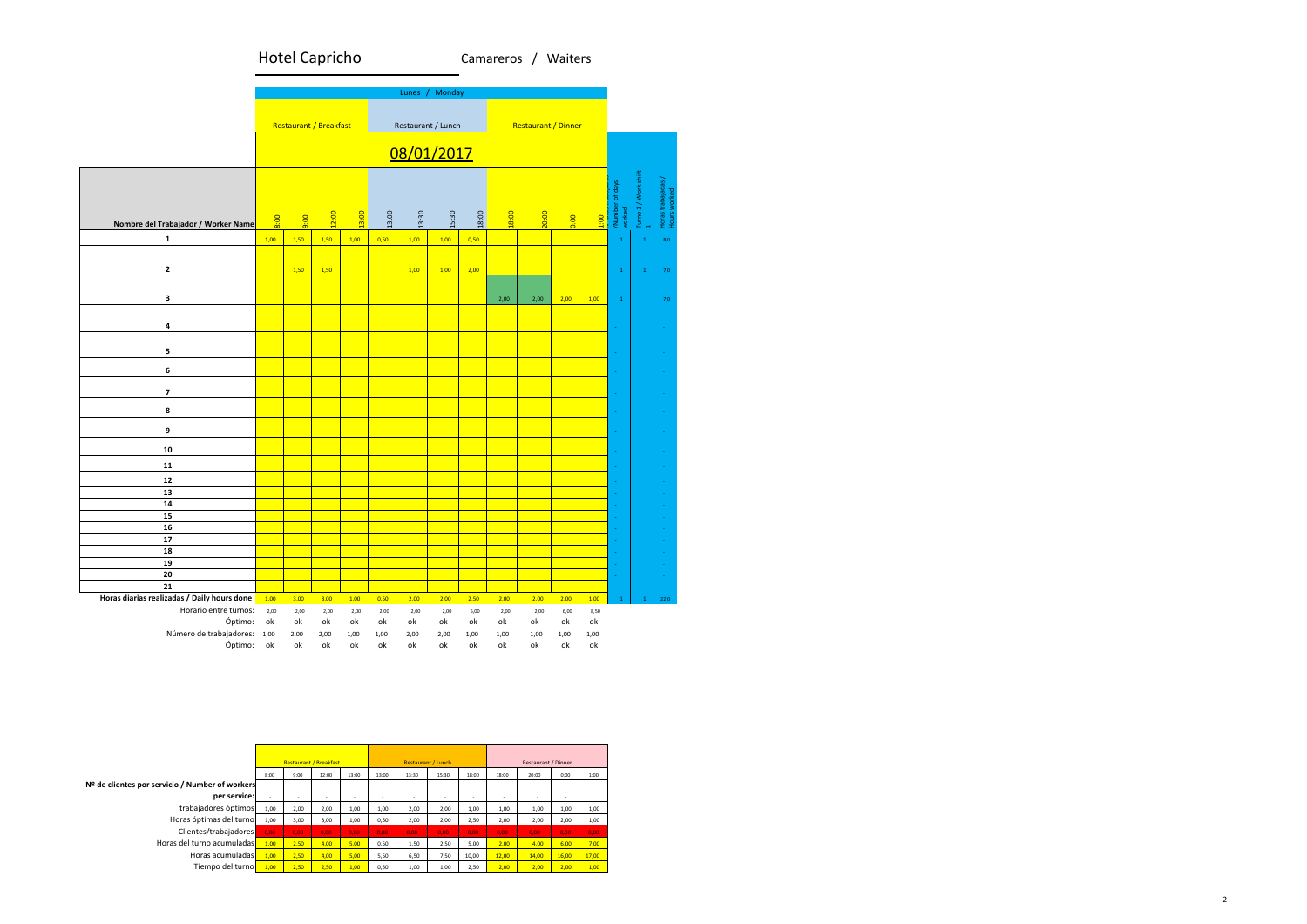Camareros / Waiters



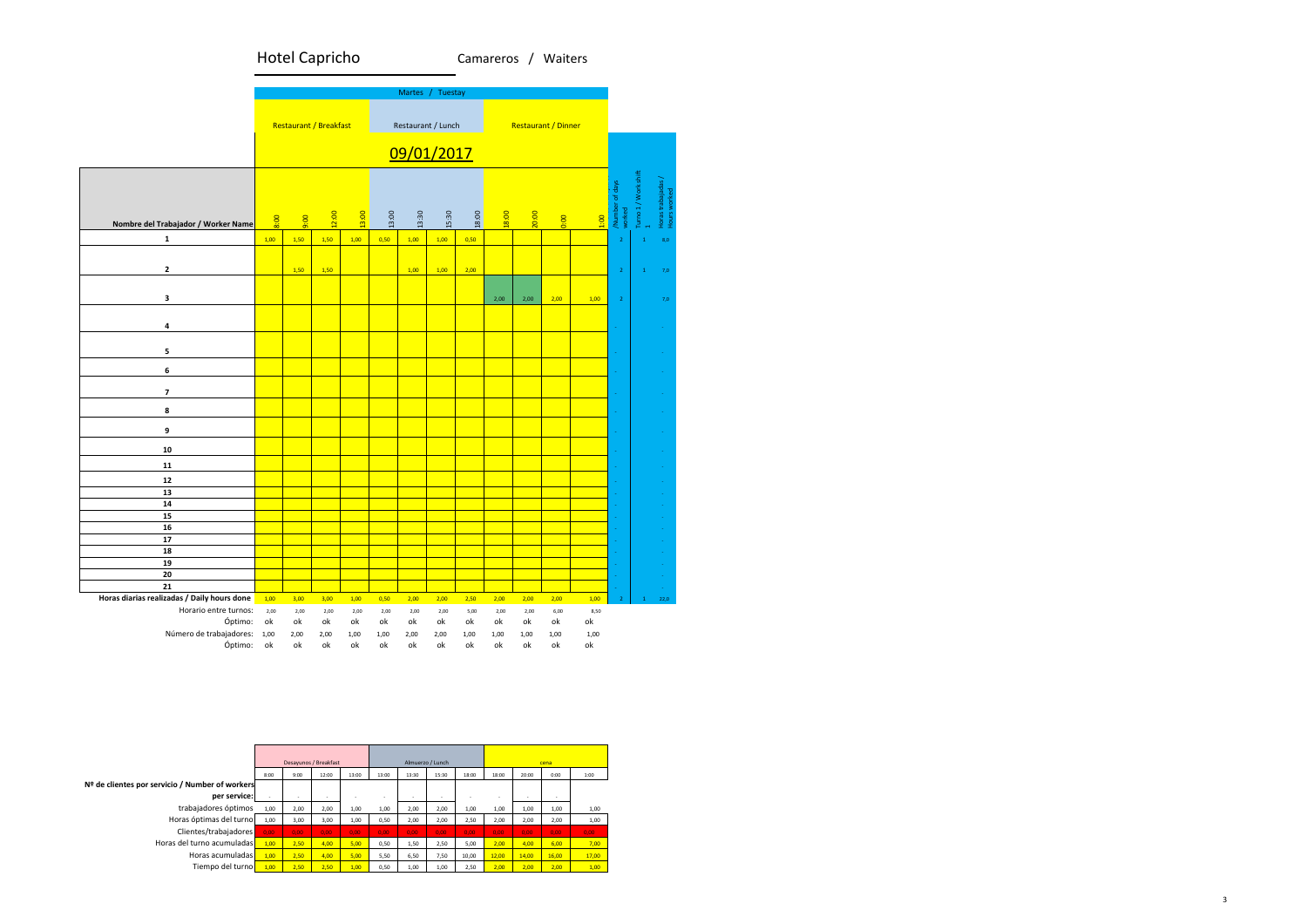

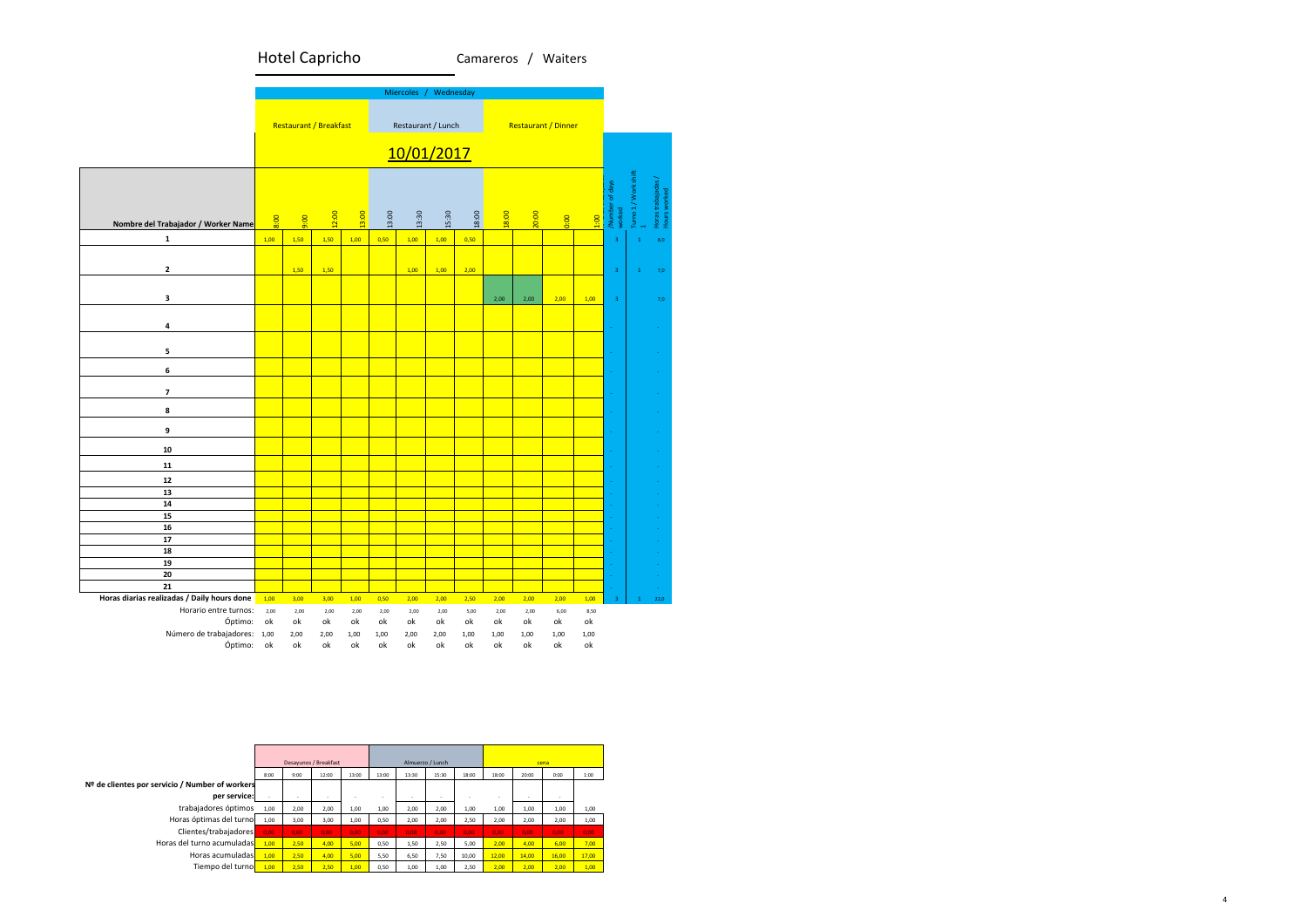4



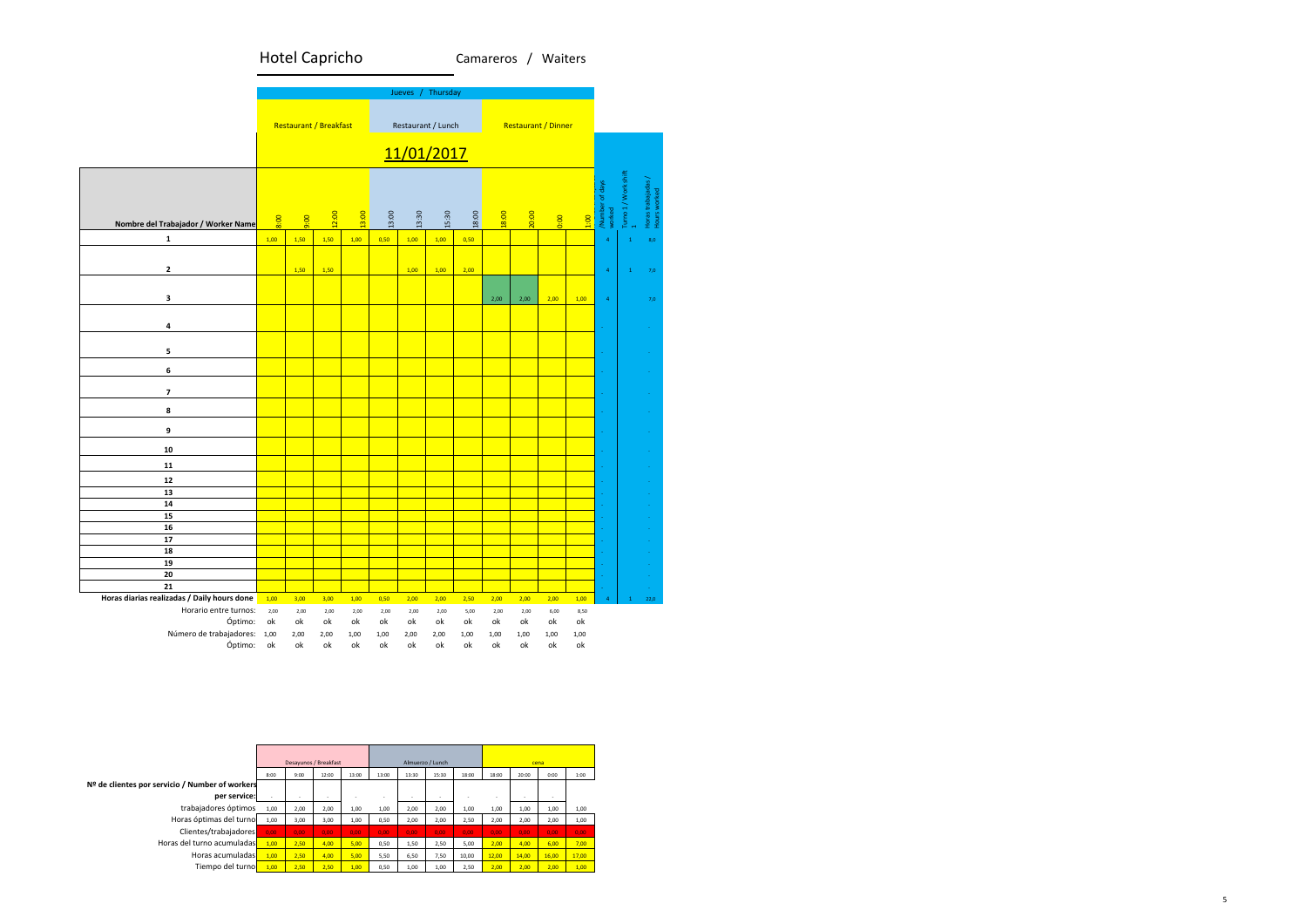

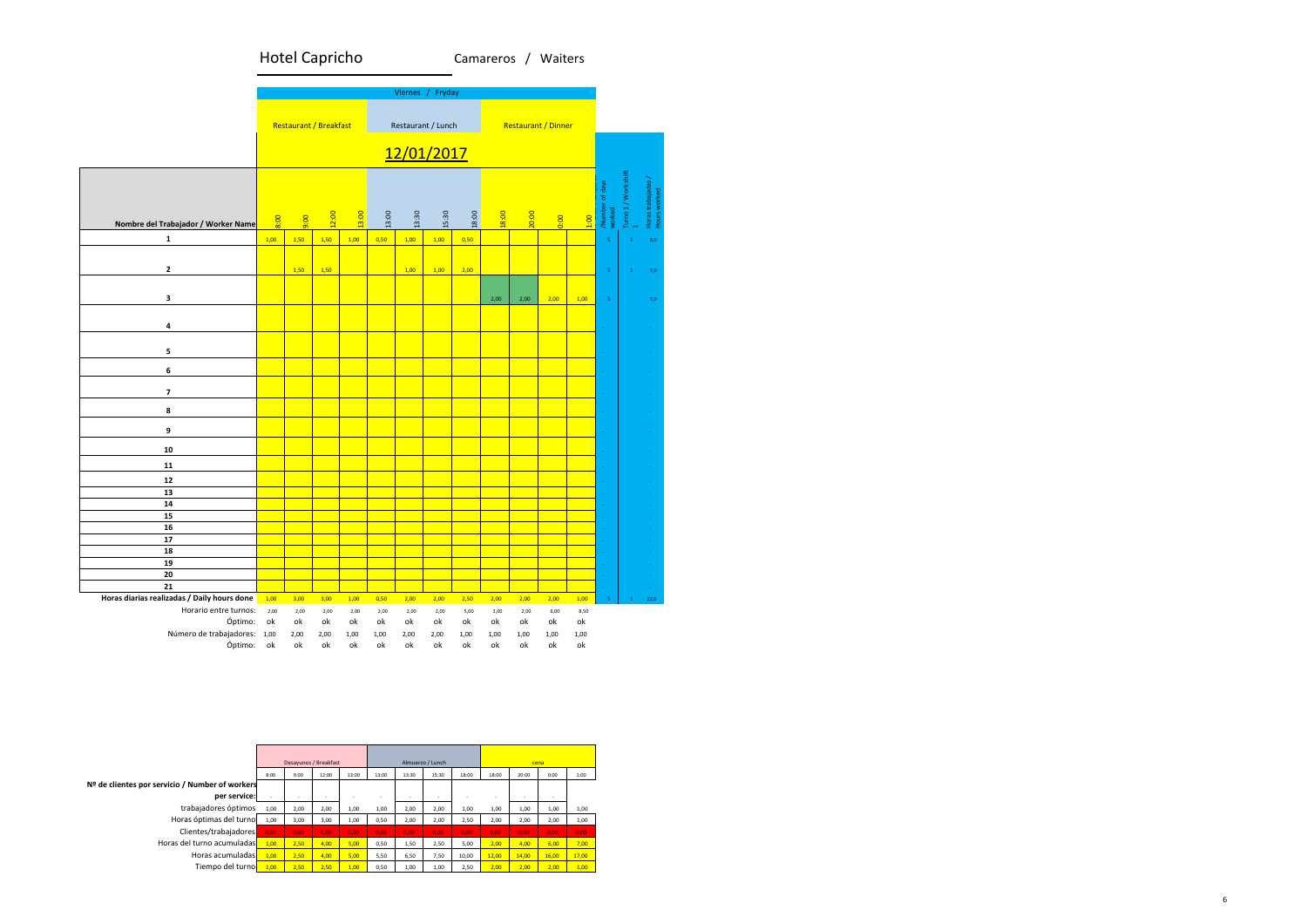

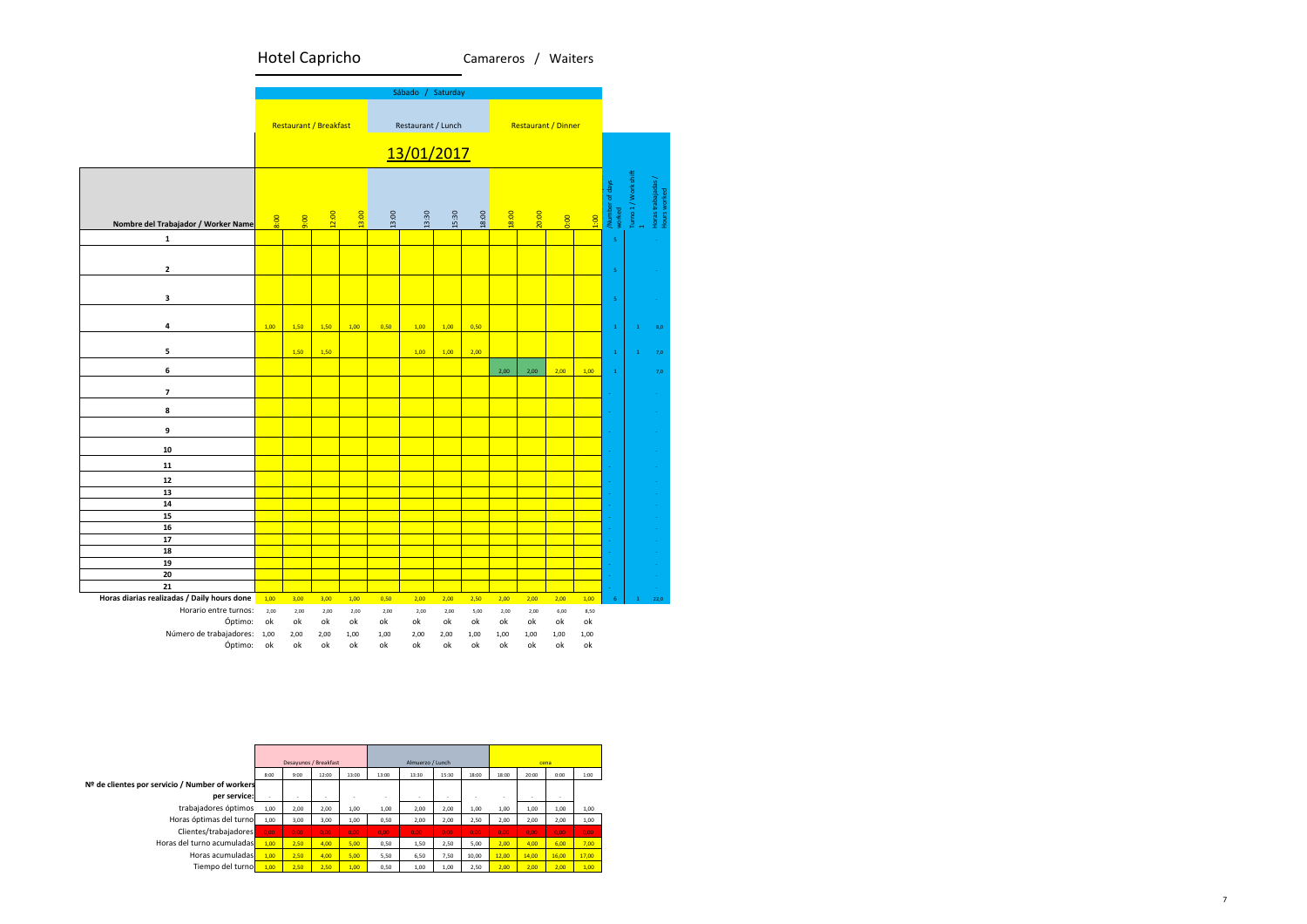

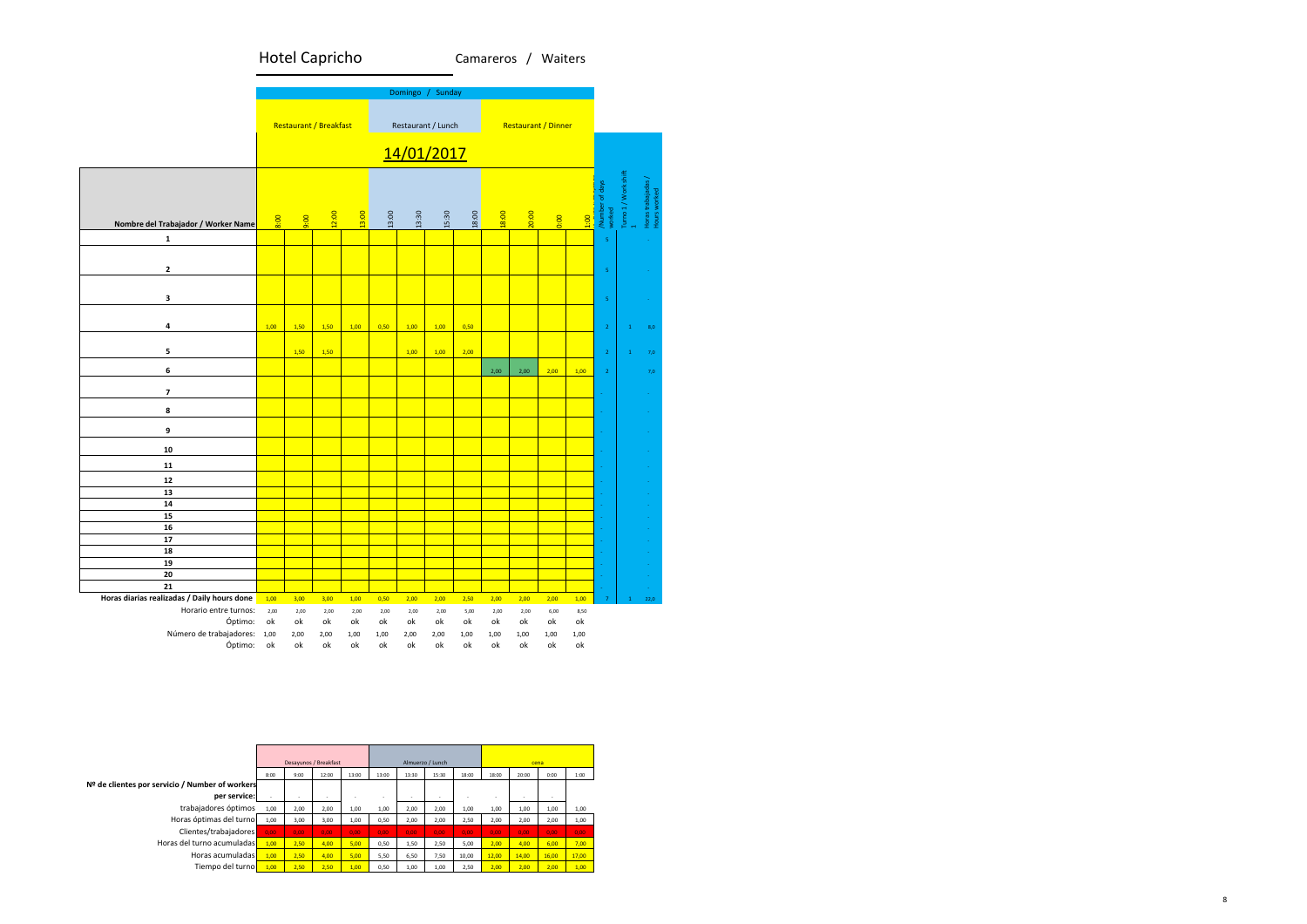